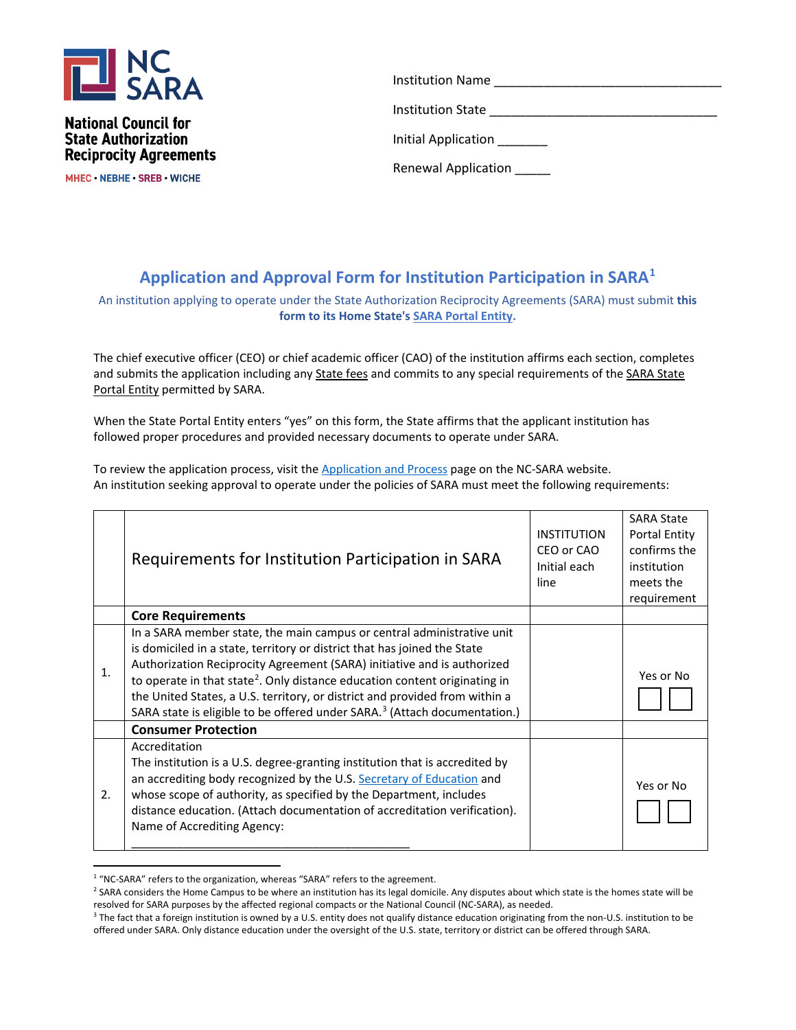

**National Council for State Authorization Reciprocity Agreements** 

MHEC NEBHE SREB WICHE

Institution Name Institution State Initial Application \_\_\_\_\_\_

Renewal Application \_\_\_\_\_

## **Application and Approval Form for Institution Participation in SARA[1](#page-0-0)**

An institution applying to operate under the State Authorization Reciprocity Agreements (SARA) must submit **this form to its Home State's [SARA Portal Entity.](https://www.nc-sara.org/state-portal-entity-contacts)**

The chief executive officer (CEO) or chief academic officer (CAO) of the institution affirms each section, completes and submits the application including any [State fees](https://www.nc-sara.org/state-fees-state-institutions) and commits to any special requirements of the [SARA State](https://www.nc-sara.org/state-portal-entity-contacts)  [Portal Entity](https://www.nc-sara.org/state-portal-entity-contacts) permitted by SARA.

When the State Portal Entity enters "yes" on this form, the State affirms that the applicant institution has followed proper procedures and provided necessary documents to operate under SARA.

To review the application process, visit th[e Application and Process](https://nc-sara.org/institution-application-process) page on the NC-SARA website. An institution seeking approval to operate under the policies of SARA must meet the following requirements:

|                | Requirements for Institution Participation in SARA                                                                                                                                                                                                                                                                                                                                                                                                                                              | <b>INSTITUTION</b><br>CEO or CAO<br>Initial each<br>line | <b>SARA State</b><br><b>Portal Entity</b><br>confirms the<br>institution<br>meets the<br>requirement |
|----------------|-------------------------------------------------------------------------------------------------------------------------------------------------------------------------------------------------------------------------------------------------------------------------------------------------------------------------------------------------------------------------------------------------------------------------------------------------------------------------------------------------|----------------------------------------------------------|------------------------------------------------------------------------------------------------------|
|                | <b>Core Requirements</b>                                                                                                                                                                                                                                                                                                                                                                                                                                                                        |                                                          |                                                                                                      |
| $\mathbf{1}$ . | In a SARA member state, the main campus or central administrative unit<br>is domiciled in a state, territory or district that has joined the State<br>Authorization Reciprocity Agreement (SARA) initiative and is authorized<br>to operate in that state <sup>2</sup> . Only distance education content originating in<br>the United States, a U.S. territory, or district and provided from within a<br>SARA state is eligible to be offered under SARA. <sup>3</sup> (Attach documentation.) |                                                          | Yes or No                                                                                            |
|                | <b>Consumer Protection</b>                                                                                                                                                                                                                                                                                                                                                                                                                                                                      |                                                          |                                                                                                      |
| 2.             | Accreditation<br>The institution is a U.S. degree-granting institution that is accredited by<br>an accrediting body recognized by the U.S. Secretary of Education and<br>whose scope of authority, as specified by the Department, includes<br>distance education. (Attach documentation of accreditation verification).<br>Name of Accrediting Agency:                                                                                                                                         |                                                          | Yes or No                                                                                            |

<sup>&</sup>lt;sup>1</sup> "NC-SARA" refers to the organization, whereas "SARA" refers to the agreement.

<span id="page-0-1"></span><span id="page-0-0"></span><sup>&</sup>lt;sup>2</sup> SARA considers the Home Campus to be where an institution has its legal domicile. Any disputes about which state is the homes state will be resolved for SARA purposes by the affected regional compacts or the National Council (NC-SARA), as needed.

<span id="page-0-2"></span><sup>&</sup>lt;sup>3</sup> The fact that a foreign institution is owned by a U.S. entity does not qualify distance education originating from the non-U.S. institution to be offered under SARA. Only distance education under the oversight of the U.S. state, territory or district can be offered through SARA.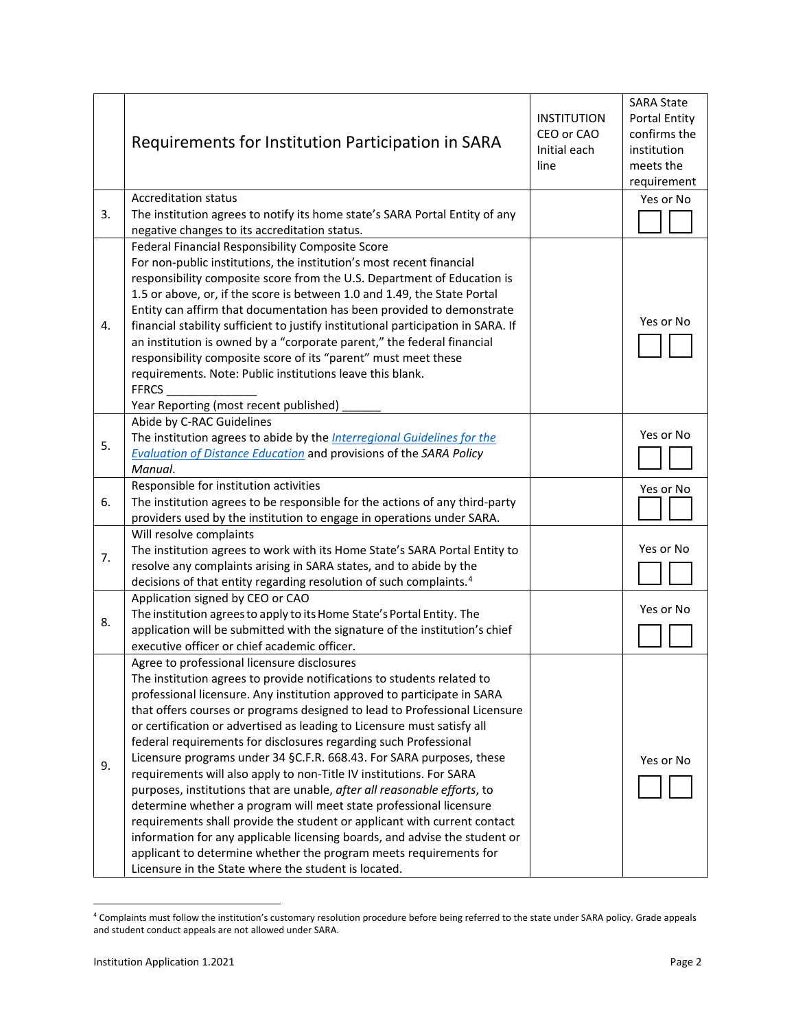|    | Requirements for Institution Participation in SARA                                                                                                                                                                                                                                                                                                                                                                                                                                                                                                                                                                                                                                                                                                                                                                                                                                                                                                                                                                    | <b>INSTITUTION</b><br>CEO or CAO<br>Initial each<br>line | <b>SARA State</b><br><b>Portal Entity</b><br>confirms the<br>institution<br>meets the<br>requirement |
|----|-----------------------------------------------------------------------------------------------------------------------------------------------------------------------------------------------------------------------------------------------------------------------------------------------------------------------------------------------------------------------------------------------------------------------------------------------------------------------------------------------------------------------------------------------------------------------------------------------------------------------------------------------------------------------------------------------------------------------------------------------------------------------------------------------------------------------------------------------------------------------------------------------------------------------------------------------------------------------------------------------------------------------|----------------------------------------------------------|------------------------------------------------------------------------------------------------------|
| 3. | <b>Accreditation status</b><br>The institution agrees to notify its home state's SARA Portal Entity of any<br>negative changes to its accreditation status.                                                                                                                                                                                                                                                                                                                                                                                                                                                                                                                                                                                                                                                                                                                                                                                                                                                           |                                                          | Yes or No                                                                                            |
| 4. | Federal Financial Responsibility Composite Score<br>For non-public institutions, the institution's most recent financial<br>responsibility composite score from the U.S. Department of Education is<br>1.5 or above, or, if the score is between 1.0 and 1.49, the State Portal<br>Entity can affirm that documentation has been provided to demonstrate<br>financial stability sufficient to justify institutional participation in SARA. If<br>an institution is owned by a "corporate parent," the federal financial<br>responsibility composite score of its "parent" must meet these<br>requirements. Note: Public institutions leave this blank.<br><b>FFRCS</b><br>Year Reporting (most recent published)                                                                                                                                                                                                                                                                                                      |                                                          | Yes or No                                                                                            |
| 5. | Abide by C-RAC Guidelines<br>The institution agrees to abide by the <i>Interregional Guidelines for the</i><br><b>Evaluation of Distance Education and provisions of the SARA Policy</b><br>Manual.                                                                                                                                                                                                                                                                                                                                                                                                                                                                                                                                                                                                                                                                                                                                                                                                                   |                                                          | Yes or No                                                                                            |
| 6. | Responsible for institution activities<br>The institution agrees to be responsible for the actions of any third-party<br>providers used by the institution to engage in operations under SARA.                                                                                                                                                                                                                                                                                                                                                                                                                                                                                                                                                                                                                                                                                                                                                                                                                        |                                                          | Yes or No                                                                                            |
| 7. | Will resolve complaints<br>The institution agrees to work with its Home State's SARA Portal Entity to<br>resolve any complaints arising in SARA states, and to abide by the<br>decisions of that entity regarding resolution of such complaints. <sup>4</sup>                                                                                                                                                                                                                                                                                                                                                                                                                                                                                                                                                                                                                                                                                                                                                         |                                                          | Yes or No                                                                                            |
| 8. | Application signed by CEO or CAO<br>The institution agrees to apply to its Home State's Portal Entity. The<br>application will be submitted with the signature of the institution's chief<br>executive officer or chief academic officer.                                                                                                                                                                                                                                                                                                                                                                                                                                                                                                                                                                                                                                                                                                                                                                             |                                                          | Yes or No                                                                                            |
| 9. | Agree to professional licensure disclosures<br>The institution agrees to provide notifications to students related to<br>professional licensure. Any institution approved to participate in SARA<br>that offers courses or programs designed to lead to Professional Licensure<br>or certification or advertised as leading to Licensure must satisfy all<br>federal requirements for disclosures regarding such Professional<br>Licensure programs under 34 §C.F.R. 668.43. For SARA purposes, these<br>requirements will also apply to non-Title IV institutions. For SARA<br>purposes, institutions that are unable, after all reasonable efforts, to<br>determine whether a program will meet state professional licensure<br>requirements shall provide the student or applicant with current contact<br>information for any applicable licensing boards, and advise the student or<br>applicant to determine whether the program meets requirements for<br>Licensure in the State where the student is located. |                                                          | Yes or No                                                                                            |

<sup>4</sup> Complaints must follow the institution's customary resolution procedure before being referred to the state under SARA policy. Grade appeals and student conduct appeals are not allowed under SARA.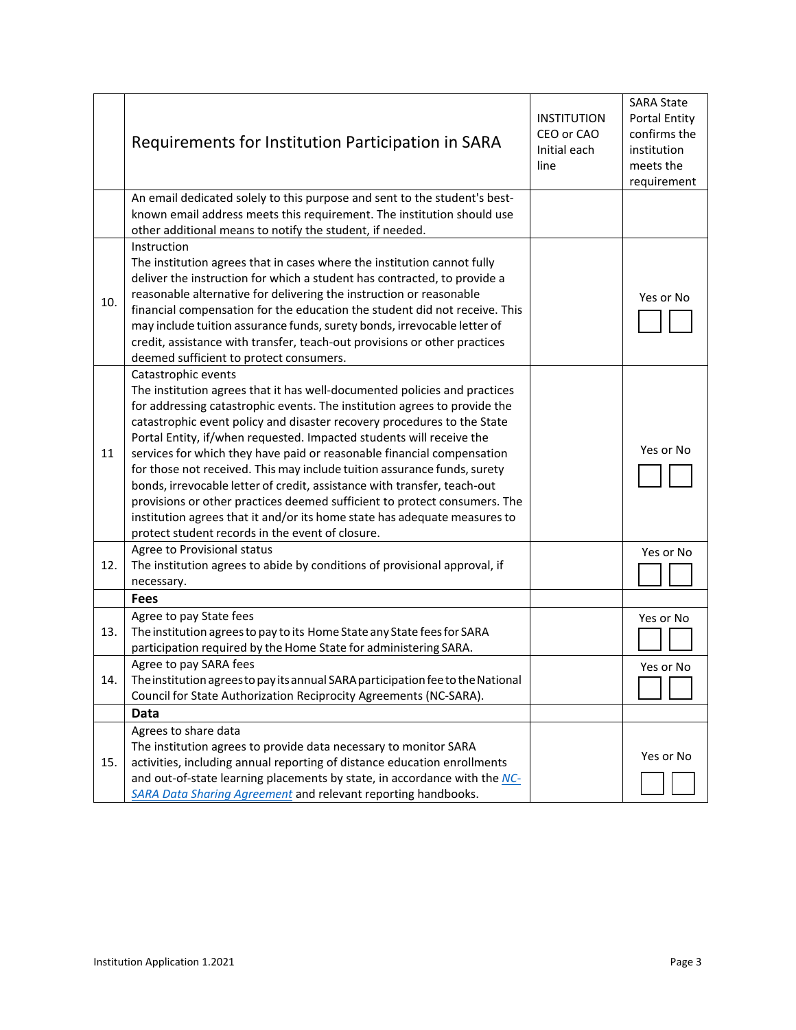|     | Requirements for Institution Participation in SARA                                                                                                                                                                                                                                                                                                                                                                                                                                                                                                                                                                                                                                                                                                                               | <b>INSTITUTION</b><br>CEO or CAO<br>Initial each<br>line | <b>SARA State</b><br><b>Portal Entity</b><br>confirms the<br>institution<br>meets the<br>requirement |
|-----|----------------------------------------------------------------------------------------------------------------------------------------------------------------------------------------------------------------------------------------------------------------------------------------------------------------------------------------------------------------------------------------------------------------------------------------------------------------------------------------------------------------------------------------------------------------------------------------------------------------------------------------------------------------------------------------------------------------------------------------------------------------------------------|----------------------------------------------------------|------------------------------------------------------------------------------------------------------|
|     | An email dedicated solely to this purpose and sent to the student's best-<br>known email address meets this requirement. The institution should use<br>other additional means to notify the student, if needed.                                                                                                                                                                                                                                                                                                                                                                                                                                                                                                                                                                  |                                                          |                                                                                                      |
| 10. | Instruction<br>The institution agrees that in cases where the institution cannot fully<br>deliver the instruction for which a student has contracted, to provide a<br>reasonable alternative for delivering the instruction or reasonable<br>financial compensation for the education the student did not receive. This<br>may include tuition assurance funds, surety bonds, irrevocable letter of<br>credit, assistance with transfer, teach-out provisions or other practices<br>deemed sufficient to protect consumers.                                                                                                                                                                                                                                                      |                                                          | Yes or No                                                                                            |
| 11  | Catastrophic events<br>The institution agrees that it has well-documented policies and practices<br>for addressing catastrophic events. The institution agrees to provide the<br>catastrophic event policy and disaster recovery procedures to the State<br>Portal Entity, if/when requested. Impacted students will receive the<br>services for which they have paid or reasonable financial compensation<br>for those not received. This may include tuition assurance funds, surety<br>bonds, irrevocable letter of credit, assistance with transfer, teach-out<br>provisions or other practices deemed sufficient to protect consumers. The<br>institution agrees that it and/or its home state has adequate measures to<br>protect student records in the event of closure. |                                                          | Yes or No                                                                                            |
| 12. | Agree to Provisional status<br>The institution agrees to abide by conditions of provisional approval, if<br>necessary.                                                                                                                                                                                                                                                                                                                                                                                                                                                                                                                                                                                                                                                           |                                                          | Yes or No                                                                                            |
|     | <b>Fees</b>                                                                                                                                                                                                                                                                                                                                                                                                                                                                                                                                                                                                                                                                                                                                                                      |                                                          |                                                                                                      |
| 13. | Agree to pay State fees<br>The institution agrees to pay to its Home State any State fees for SARA<br>participation required by the Home State for administering SARA.                                                                                                                                                                                                                                                                                                                                                                                                                                                                                                                                                                                                           |                                                          | Yes or No                                                                                            |
| 14. | Agree to pay SARA fees<br>The institution agrees to pay its annual SARA participation fee to the National<br>Council for State Authorization Reciprocity Agreements (NC-SARA).                                                                                                                                                                                                                                                                                                                                                                                                                                                                                                                                                                                                   |                                                          | Yes or No                                                                                            |
|     | Data                                                                                                                                                                                                                                                                                                                                                                                                                                                                                                                                                                                                                                                                                                                                                                             |                                                          |                                                                                                      |
| 15. | Agrees to share data<br>The institution agrees to provide data necessary to monitor SARA<br>activities, including annual reporting of distance education enrollments<br>and out-of-state learning placements by state, in accordance with the NC-<br>SARA Data Sharing Agreement and relevant reporting handbooks.                                                                                                                                                                                                                                                                                                                                                                                                                                                               |                                                          | Yes or No                                                                                            |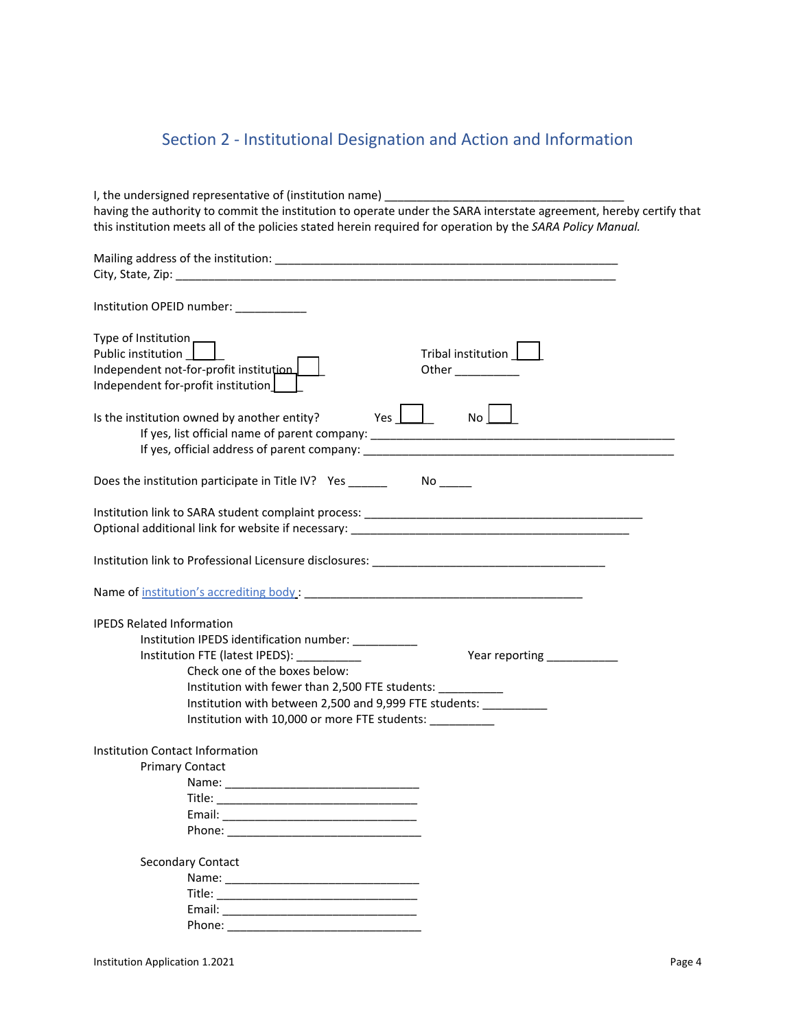## Section 2 - Institutional Designation and Action and Information

| I, the undersigned representative of (institution name) ________________________<br>having the authority to commit the institution to operate under the SARA interstate agreement, hereby certify that<br>this institution meets all of the policies stated herein required for operation by the SARA Policy Manual. |
|----------------------------------------------------------------------------------------------------------------------------------------------------------------------------------------------------------------------------------------------------------------------------------------------------------------------|
|                                                                                                                                                                                                                                                                                                                      |
| Institution OPEID number: ___________                                                                                                                                                                                                                                                                                |
| Type of Institution -<br>Public institution    <br>Tribal institution  <br>Independent not-for-profit institution<br>Other $\_$<br>Independent for-profit institution                                                                                                                                                |
| Yes $\Box$<br>No L<br>Is the institution owned by another entity?                                                                                                                                                                                                                                                    |
| Does the institution participate in Title IV? Yes No                                                                                                                                                                                                                                                                 |
|                                                                                                                                                                                                                                                                                                                      |
|                                                                                                                                                                                                                                                                                                                      |
|                                                                                                                                                                                                                                                                                                                      |
| <b>IPEDS Related Information</b><br>Institution IPEDS identification number: __________<br>Institution FTE (latest IPEDS): ___________<br>Check one of the boxes below:                                                                                                                                              |
| Institution with fewer than 2,500 FTE students: __________<br>Institution with between 2,500 and 9,999 FTE students: __________                                                                                                                                                                                      |
| Institution with 10,000 or more FTE students: _________                                                                                                                                                                                                                                                              |
| Institution Contact Information<br><b>Primary Contact</b>                                                                                                                                                                                                                                                            |
| Secondary Contact                                                                                                                                                                                                                                                                                                    |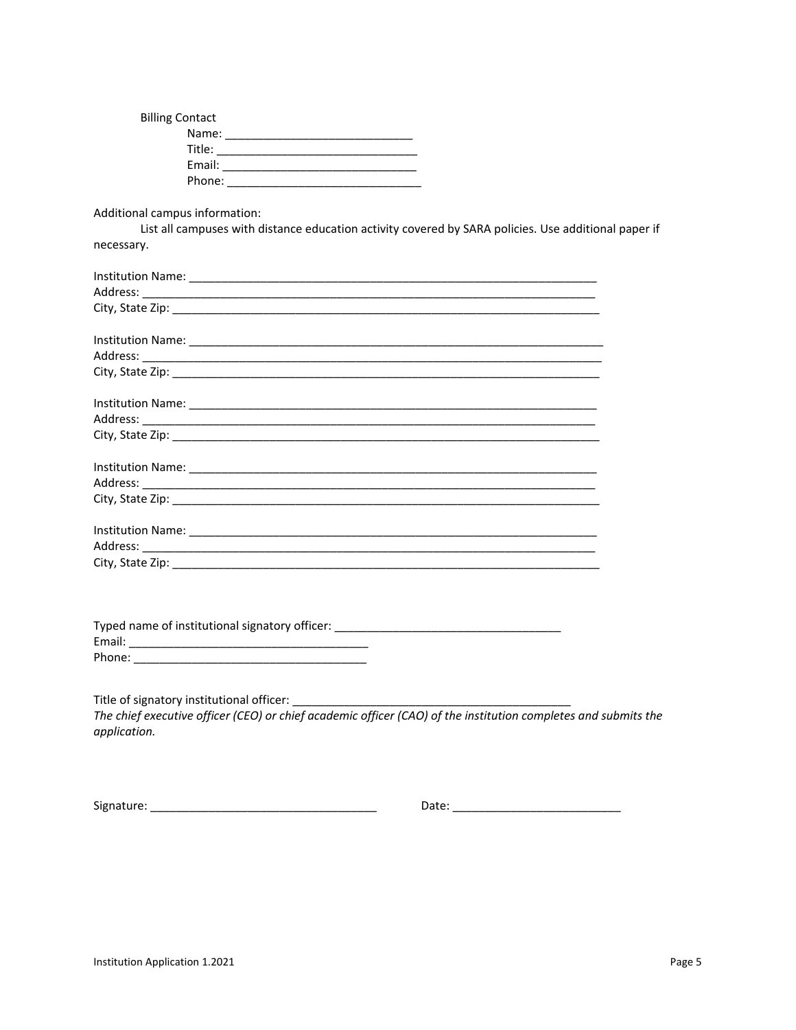| <b>Billing Contact</b> |  |
|------------------------|--|
| Name:                  |  |
| Title:                 |  |
| Email:                 |  |
| Phone:                 |  |

Additional campus information:

List all campuses with distance education activity covered by SARA policies. Use additional paper if necessary.

| Tyned name of institutional signatory officers |
|------------------------------------------------|

| <b>Typed Harne of Institutional signatory officer.</b> |  |
|--------------------------------------------------------|--|
| Email:                                                 |  |
| Phone:                                                 |  |

Title of signatory institutional officer: \_\_\_\_\_\_\_

The chief executive officer (CEO) or chief academic officer (CAO) of the institution completes and submits the application.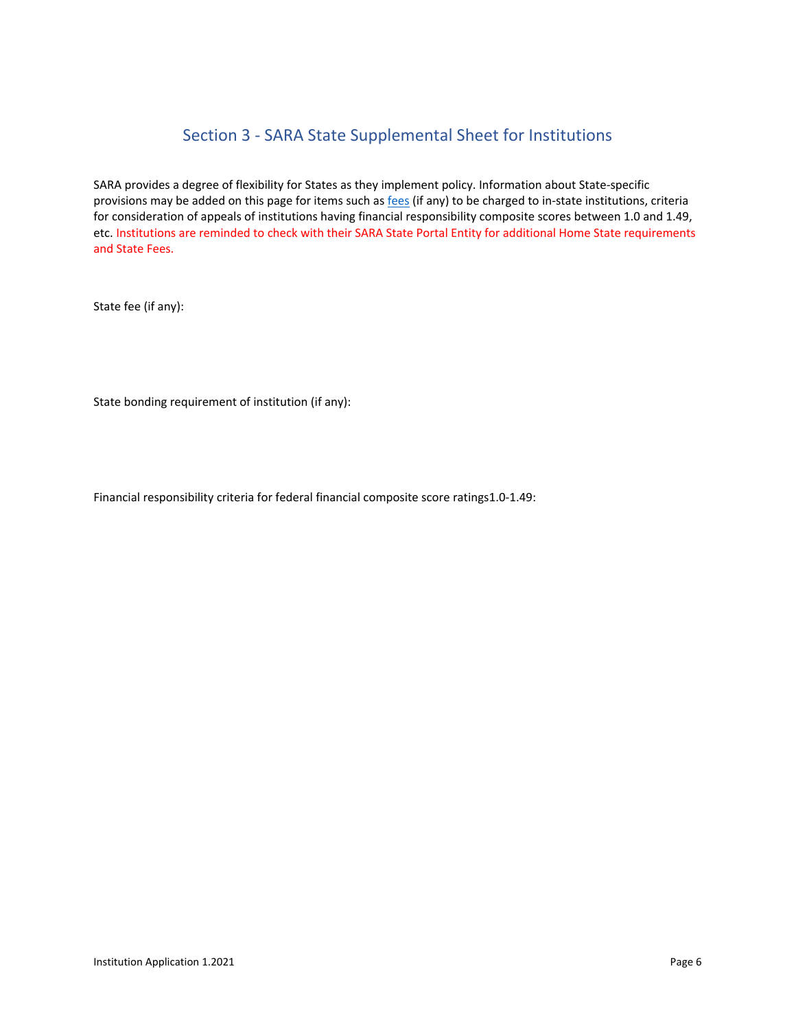## Section 3 - SARA State Supplemental Sheet for Institutions

SARA provides a degree of flexibility for States as they implement policy. Information about State-specific provisions may be added on this page for items such as [fees](https://nc-sara.org/state-fees-state-institutions) (if any) to be charged to in-state institutions, criteria for consideration of appeals of institutions having financial responsibility composite scores between 1.0 and 1.49, etc. Institutions are reminded to check with their SARA State Portal Entity for additional Home State requirements and State Fees.

State fee (if any):

State bonding requirement of institution (if any):

Financial responsibility criteria for federal financial composite score ratings1.0-1.49: